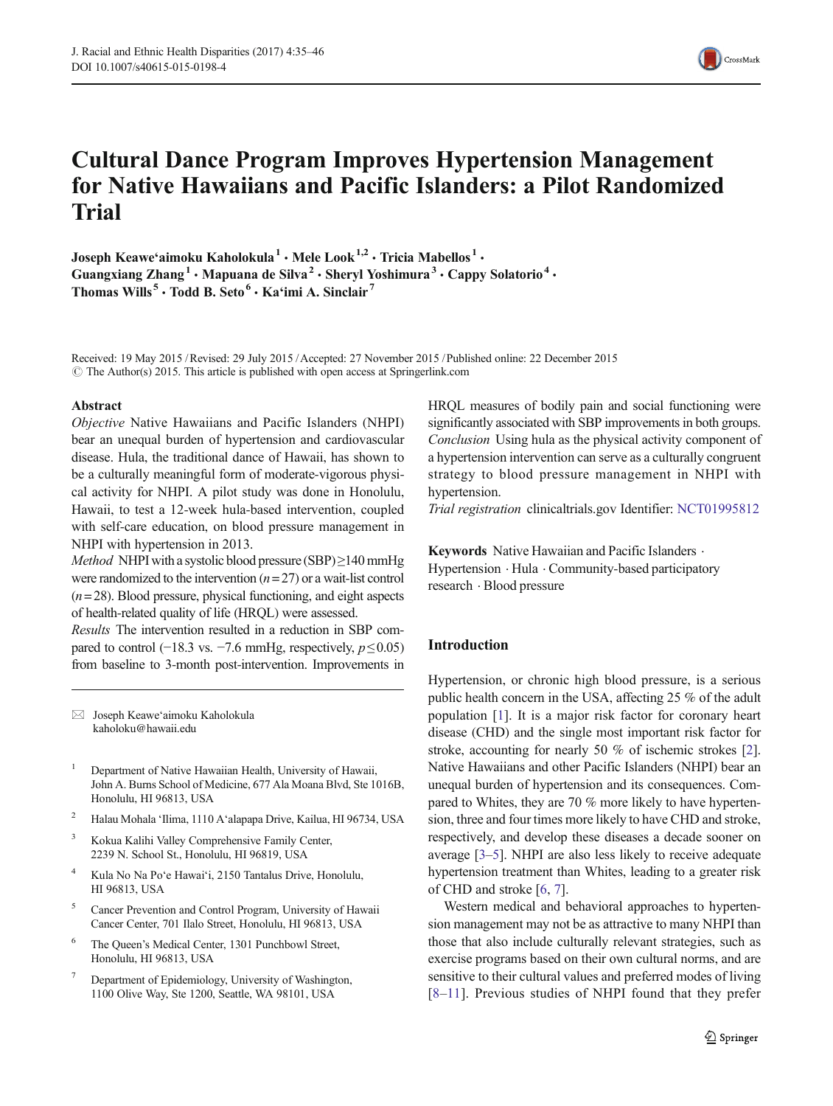

# Cultural Dance Program Improves Hypertension Management for Native Hawaiians and Pacific Islanders: a Pilot Randomized Trial

Joseph Keawe'aimoku Kaholokula<sup>1</sup> · Mele Look<sup>1,2</sup> · Tricia Mabellos<sup>1</sup> · Guangxiang Zhang<sup>1</sup> · Mapuana de Silva<sup>2</sup> · Sheryl Yoshimura<sup>3</sup> · Cappy Solatorio<sup>4</sup> · Thomas Wills<sup>5</sup>  $\cdot$  Todd B. Seto<sup>6</sup>  $\cdot$  Ka'imi A. Sinclair<sup>7</sup>

Received: 19 May 2015 /Revised: 29 July 2015 /Accepted: 27 November 2015 /Published online: 22 December 2015  $\circ$  The Author(s) 2015. This article is published with open access at Springerlink.com

## Abstract

Objective Native Hawaiians and Pacific Islanders (NHPI) bear an unequal burden of hypertension and cardiovascular disease. Hula, the traditional dance of Hawaii, has shown to be a culturally meaningful form of moderate-vigorous physical activity for NHPI. A pilot study was done in Honolulu, Hawaii, to test a 12-week hula-based intervention, coupled with self-care education, on blood pressure management in NHPI with hypertension in 2013.

*Method* NHPI with a systolic blood pressure (SBP) $\geq$ 140 mmHg were randomized to the intervention  $(n=27)$  or a wait-list control  $(n= 28)$ . Blood pressure, physical functioning, and eight aspects of health-related quality of life (HRQL) were assessed.

Results The intervention resulted in a reduction in SBP compared to control (−18.3 vs. −7.6 mmHg, respectively,  $p \le 0.05$ ) from baseline to 3-month post-intervention. Improvements in

 $\boxtimes$  Joseph Keawe'aimoku Kaholokula kaholoku@hawaii.edu

- <sup>1</sup> Department of Native Hawaiian Health, University of Hawaii, John A. Burns School of Medicine, 677 Ala Moana Blvd, Ste 1016B, Honolulu, HI 96813, USA
- <sup>2</sup> Halau Mohala 'Ilima, 1110 A'alapapa Drive, Kailua, HI 96734, USA
- <sup>3</sup> Kokua Kalihi Valley Comprehensive Family Center, 2239 N. School St., Honolulu, HI 96819, USA
- <sup>4</sup> Kula No Na Po'e Hawai'i, 2150 Tantalus Drive, Honolulu, HI 96813, USA
- <sup>5</sup> Cancer Prevention and Control Program, University of Hawaii Cancer Center, 701 Ilalo Street, Honolulu, HI 96813, USA
- <sup>6</sup> The Queen's Medical Center, 1301 Punchbowl Street, Honolulu, HI 96813, USA
- Department of Epidemiology, University of Washington, 1100 Olive Way, Ste 1200, Seattle, WA 98101, USA

HRQL measures of bodily pain and social functioning were significantly associated with SBP improvements in both groups. Conclusion Using hula as the physical activity component of a hypertension intervention can serve as a culturally congruent strategy to blood pressure management in NHPI with hypertension.

Trial registration clinicaltrials.gov Identifier: [NCT01995812](http://www.clinicaltrials.gov/NCT01995812)

Keywords Native Hawaiian and Pacific Islanders . Hypertension  $\cdot$  Hula  $\cdot$  Community-based participatory research . Blood pressure

# Introduction

Hypertension, or chronic high blood pressure, is a serious public health concern in the USA, affecting 25 % of the adult population [[1\]](#page-9-0). It is a major risk factor for coronary heart disease (CHD) and the single most important risk factor for stroke, accounting for nearly 50 % of ischemic strokes [[2\]](#page-9-0). Native Hawaiians and other Pacific Islanders (NHPI) bear an unequal burden of hypertension and its consequences. Compared to Whites, they are 70 % more likely to have hypertension, three and four times more likely to have CHD and stroke, respectively, and develop these diseases a decade sooner on average [\[3](#page-9-0)–[5](#page-9-0)]. NHPI are also less likely to receive adequate hypertension treatment than Whites, leading to a greater risk of CHD and stroke [\[6](#page-9-0), [7](#page-9-0)].

Western medical and behavioral approaches to hypertension management may not be as attractive to many NHPI than those that also include culturally relevant strategies, such as exercise programs based on their own cultural norms, and are sensitive to their cultural values and preferred modes of living [\[8](#page-9-0)–[11\]](#page-9-0). Previous studies of NHPI found that they prefer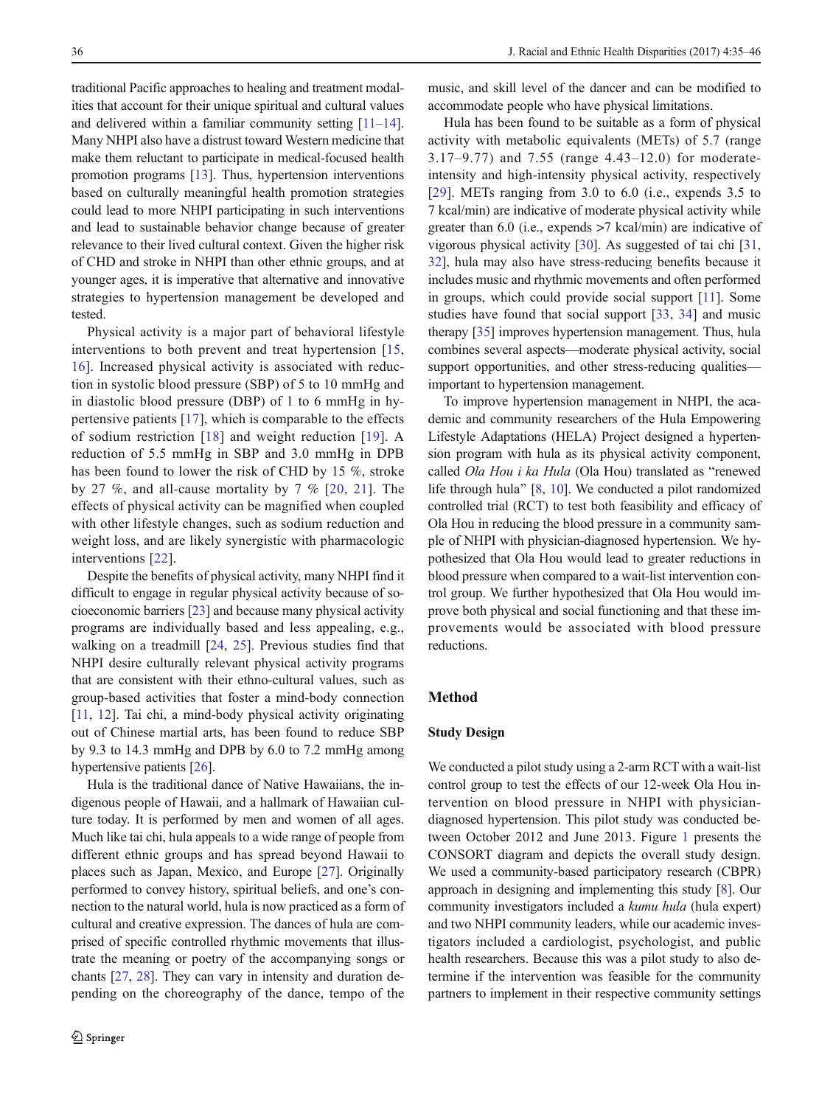traditional Pacific approaches to healing and treatment modalities that account for their unique spiritual and cultural values and delivered within a familiar community setting [\[11](#page-9-0)–[14](#page-9-0)]. Many NHPI also have a distrust toward Western medicine that make them reluctant to participate in medical-focused health promotion programs [\[13](#page-9-0)]. Thus, hypertension interventions based on culturally meaningful health promotion strategies could lead to more NHPI participating in such interventions and lead to sustainable behavior change because of greater relevance to their lived cultural context. Given the higher risk of CHD and stroke in NHPI than other ethnic groups, and at younger ages, it is imperative that alternative and innovative strategies to hypertension management be developed and tested.

Physical activity is a major part of behavioral lifestyle interventions to both prevent and treat hypertension [\[15,](#page-10-0) [16](#page-10-0)]. Increased physical activity is associated with reduction in systolic blood pressure (SBP) of 5 to 10 mmHg and in diastolic blood pressure (DBP) of 1 to 6 mmHg in hypertensive patients [\[17\]](#page-10-0), which is comparable to the effects of sodium restriction [[18](#page-10-0)] and weight reduction [[19\]](#page-10-0). A reduction of 5.5 mmHg in SBP and 3.0 mmHg in DPB has been found to lower the risk of CHD by 15 %, stroke by 27  $\%$ , and all-cause mortality by 7  $\%$  [[20](#page-10-0), [21](#page-10-0)]. The effects of physical activity can be magnified when coupled with other lifestyle changes, such as sodium reduction and weight loss, and are likely synergistic with pharmacologic interventions [\[22](#page-10-0)].

Despite the benefits of physical activity, many NHPI find it difficult to engage in regular physical activity because of socioeconomic barriers [\[23](#page-10-0)] and because many physical activity programs are individually based and less appealing, e.g., walking on a treadmill [\[24](#page-10-0), [25](#page-10-0)]. Previous studies find that NHPI desire culturally relevant physical activity programs that are consistent with their ethno-cultural values, such as group-based activities that foster a mind-body connection [\[11,](#page-9-0) [12\]](#page-9-0). Tai chi, a mind-body physical activity originating out of Chinese martial arts, has been found to reduce SBP by 9.3 to 14.3 mmHg and DPB by 6.0 to 7.2 mmHg among hypertensive patients [[26\]](#page-10-0).

Hula is the traditional dance of Native Hawaiians, the indigenous people of Hawaii, and a hallmark of Hawaiian culture today. It is performed by men and women of all ages. Much like tai chi, hula appeals to a wide range of people from different ethnic groups and has spread beyond Hawaii to places such as Japan, Mexico, and Europe [[27\]](#page-10-0). Originally performed to convey history, spiritual beliefs, and one's connection to the natural world, hula is now practiced as a form of cultural and creative expression. The dances of hula are comprised of specific controlled rhythmic movements that illustrate the meaning or poetry of the accompanying songs or chants [\[27,](#page-10-0) [28](#page-10-0)]. They can vary in intensity and duration depending on the choreography of the dance, tempo of the

music, and skill level of the dancer and can be modified to accommodate people who have physical limitations.

Hula has been found to be suitable as a form of physical activity with metabolic equivalents (METs) of 5.7 (range 3.17–9.77) and 7.55 (range 4.43–12.0) for moderateintensity and high-intensity physical activity, respectively [\[29\]](#page-10-0). METs ranging from 3.0 to 6.0 (i.e., expends 3.5 to 7 kcal/min) are indicative of moderate physical activity while greater than 6.0 (i.e., expends >7 kcal/min) are indicative of vigorous physical activity [\[30](#page-10-0)]. As suggested of tai chi [\[31,](#page-10-0) [32\]](#page-10-0), hula may also have stress-reducing benefits because it includes music and rhythmic movements and often performed in groups, which could provide social support [\[11](#page-9-0)]. Some studies have found that social support [\[33](#page-10-0), [34](#page-10-0)] and music therapy [\[35\]](#page-10-0) improves hypertension management. Thus, hula combines several aspects—moderate physical activity, social support opportunities, and other stress-reducing qualities important to hypertension management.

To improve hypertension management in NHPI, the academic and community researchers of the Hula Empowering Lifestyle Adaptations (HELA) Project designed a hypertension program with hula as its physical activity component, called Ola Hou i ka Hula (Ola Hou) translated as "renewed life through hula" [[8,](#page-9-0) [10\]](#page-9-0). We conducted a pilot randomized controlled trial (RCT) to test both feasibility and efficacy of Ola Hou in reducing the blood pressure in a community sample of NHPI with physician-diagnosed hypertension. We hypothesized that Ola Hou would lead to greater reductions in blood pressure when compared to a wait-list intervention control group. We further hypothesized that Ola Hou would improve both physical and social functioning and that these improvements would be associated with blood pressure reductions.

## Method

## Study Design

We conducted a pilot study using a 2-arm RCT with a wait-list control group to test the effects of our 12-week Ola Hou intervention on blood pressure in NHPI with physiciandiagnosed hypertension. This pilot study was conducted between October 2012 and June 2013. Figure [1](#page-2-0) presents the CONSORT diagram and depicts the overall study design. We used a community-based participatory research (CBPR) approach in designing and implementing this study [\[8](#page-9-0)]. Our community investigators included a kumu hula (hula expert) and two NHPI community leaders, while our academic investigators included a cardiologist, psychologist, and public health researchers. Because this was a pilot study to also determine if the intervention was feasible for the community partners to implement in their respective community settings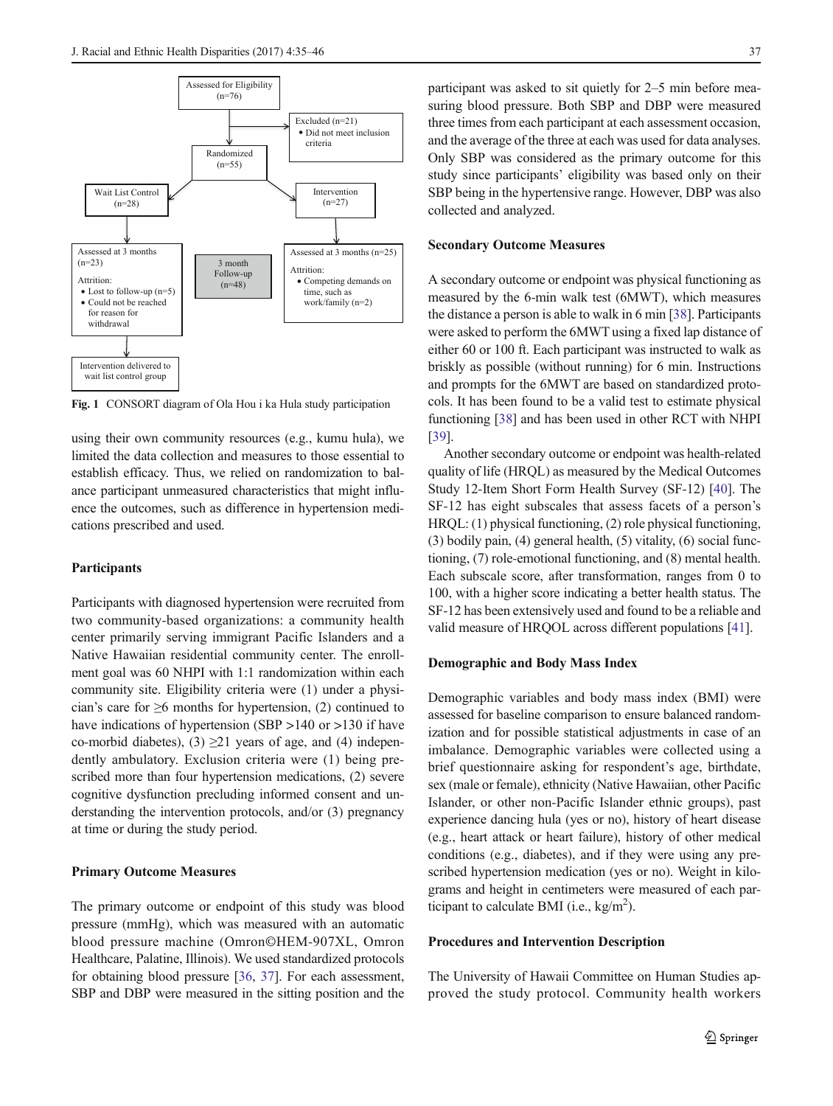<span id="page-2-0"></span>

Fig. 1 CONSORT diagram of Ola Hou i ka Hula study participation

using their own community resources (e.g., kumu hula), we limited the data collection and measures to those essential to establish efficacy. Thus, we relied on randomization to balance participant unmeasured characteristics that might influence the outcomes, such as difference in hypertension medications prescribed and used.

# **Participants**

Participants with diagnosed hypertension were recruited from two community-based organizations: a community health center primarily serving immigrant Pacific Islanders and a Native Hawaiian residential community center. The enrollment goal was 60 NHPI with 1:1 randomization within each community site. Eligibility criteria were (1) under a physician's care for  $\geq 6$  months for hypertension, (2) continued to have indications of hypertension (SBP >140 or >130 if have co-morbid diabetes), (3)  $\geq$ 21 years of age, and (4) independently ambulatory. Exclusion criteria were (1) being prescribed more than four hypertension medications, (2) severe cognitive dysfunction precluding informed consent and understanding the intervention protocols, and/or (3) pregnancy at time or during the study period.

## Primary Outcome Measures

The primary outcome or endpoint of this study was blood pressure (mmHg), which was measured with an automatic blood pressure machine (Omron©HEM-907XL, Omron Healthcare, Palatine, Illinois). We used standardized protocols for obtaining blood pressure [[36](#page-10-0), [37](#page-10-0)]. For each assessment, SBP and DBP were measured in the sitting position and the participant was asked to sit quietly for 2–5 min before measuring blood pressure. Both SBP and DBP were measured three times from each participant at each assessment occasion, and the average of the three at each was used for data analyses. Only SBP was considered as the primary outcome for this study since participants' eligibility was based only on their SBP being in the hypertensive range. However, DBP was also collected and analyzed.

## Secondary Outcome Measures

A secondary outcome or endpoint was physical functioning as measured by the 6-min walk test (6MWT), which measures the distance a person is able to walk in 6 min [\[38](#page-10-0)]. Participants were asked to perform the 6MWT using a fixed lap distance of either 60 or 100 ft. Each participant was instructed to walk as briskly as possible (without running) for 6 min. Instructions and prompts for the 6MWT are based on standardized protocols. It has been found to be a valid test to estimate physical functioning [[38](#page-10-0)] and has been used in other RCT with NHPI [\[39](#page-10-0)].

Another secondary outcome or endpoint was health-related quality of life (HRQL) as measured by the Medical Outcomes Study 12-Item Short Form Health Survey (SF-12) [\[40](#page-10-0)]. The SF-12 has eight subscales that assess facets of a person's HRQL: (1) physical functioning, (2) role physical functioning, (3) bodily pain, (4) general health, (5) vitality, (6) social functioning, (7) role-emotional functioning, and (8) mental health. Each subscale score, after transformation, ranges from 0 to 100, with a higher score indicating a better health status. The SF-12 has been extensively used and found to be a reliable and valid measure of HRQOL across different populations [\[41](#page-10-0)].

# Demographic and Body Mass Index

Demographic variables and body mass index (BMI) were assessed for baseline comparison to ensure balanced randomization and for possible statistical adjustments in case of an imbalance. Demographic variables were collected using a brief questionnaire asking for respondent's age, birthdate, sex (male or female), ethnicity (Native Hawaiian, other Pacific Islander, or other non-Pacific Islander ethnic groups), past experience dancing hula (yes or no), history of heart disease (e.g., heart attack or heart failure), history of other medical conditions (e.g., diabetes), and if they were using any prescribed hypertension medication (yes or no). Weight in kilograms and height in centimeters were measured of each participant to calculate BMI (i.e.,  $\text{kg/m}^2$ ).

# Procedures and Intervention Description

The University of Hawaii Committee on Human Studies approved the study protocol. Community health workers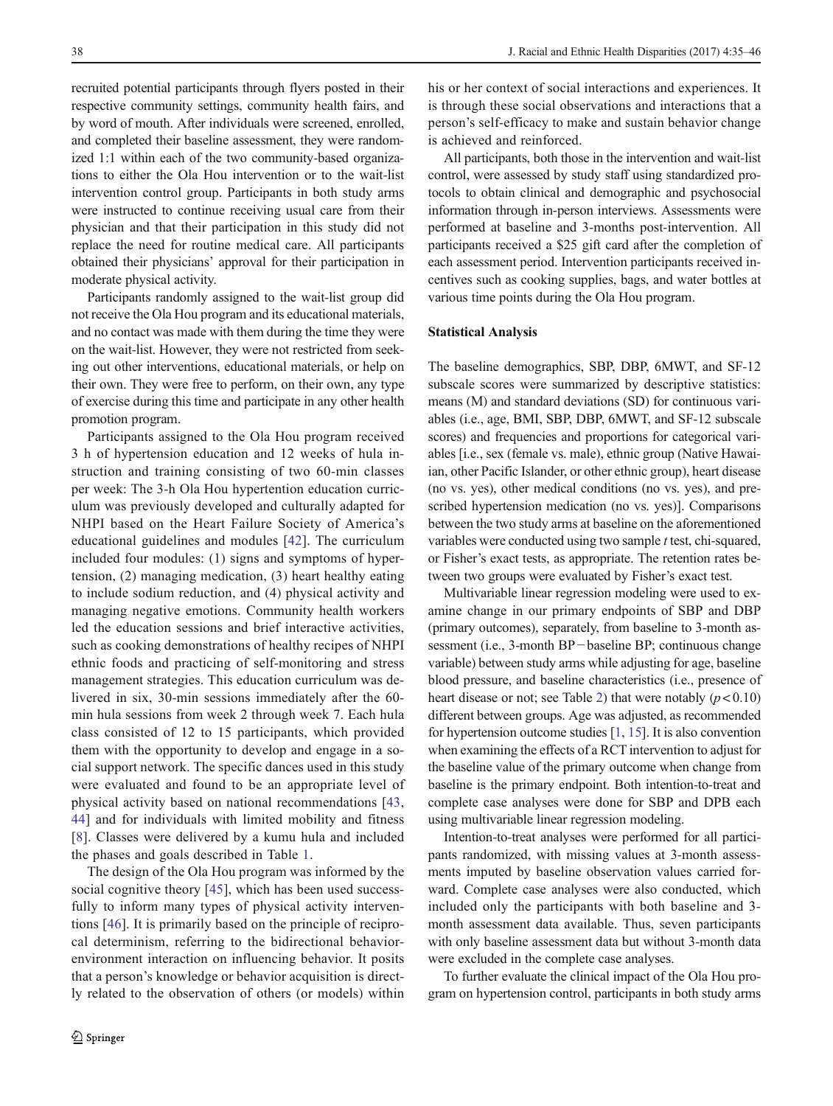recruited potential participants through flyers posted in their respective community settings, community health fairs, and by word of mouth. After individuals were screened, enrolled, and completed their baseline assessment, they were randomized 1:1 within each of the two community-based organizations to either the Ola Hou intervention or to the wait-list intervention control group. Participants in both study arms were instructed to continue receiving usual care from their physician and that their participation in this study did not replace the need for routine medical care. All participants obtained their physicians' approval for their participation in moderate physical activity.

Participants randomly assigned to the wait-list group did not receive the Ola Hou program and its educational materials, and no contact was made with them during the time they were on the wait-list. However, they were not restricted from seeking out other interventions, educational materials, or help on their own. They were free to perform, on their own, any type of exercise during this time and participate in any other health promotion program.

Participants assigned to the Ola Hou program received 3 h of hypertension education and 12 weeks of hula instruction and training consisting of two 60-min classes per week: The 3-h Ola Hou hypertention education curriculum was previously developed and culturally adapted for NHPI based on the Heart Failure Society of America's educational guidelines and modules [[42](#page-10-0)]. The curriculum included four modules: (1) signs and symptoms of hypertension, (2) managing medication, (3) heart healthy eating to include sodium reduction, and (4) physical activity and managing negative emotions. Community health workers led the education sessions and brief interactive activities, such as cooking demonstrations of healthy recipes of NHPI ethnic foods and practicing of self-monitoring and stress management strategies. This education curriculum was delivered in six, 30-min sessions immediately after the 60 min hula sessions from week 2 through week 7. Each hula class consisted of 12 to 15 participants, which provided them with the opportunity to develop and engage in a social support network. The specific dances used in this study were evaluated and found to be an appropriate level of physical activity based on national recommendations [\[43,](#page-10-0) [44](#page-10-0)] and for individuals with limited mobility and fitness [\[8](#page-9-0)]. Classes were delivered by a kumu hula and included the phases and goals described in Table [1](#page-4-0).

The design of the Ola Hou program was informed by the social cognitive theory [[45\]](#page-10-0), which has been used successfully to inform many types of physical activity interventions [[46\]](#page-10-0). It is primarily based on the principle of reciprocal determinism, referring to the bidirectional behaviorenvironment interaction on influencing behavior. It posits that a person's knowledge or behavior acquisition is directly related to the observation of others (or models) within his or her context of social interactions and experiences. It is through these social observations and interactions that a person's self-efficacy to make and sustain behavior change is achieved and reinforced.

All participants, both those in the intervention and wait-list control, were assessed by study staff using standardized protocols to obtain clinical and demographic and psychosocial information through in-person interviews. Assessments were performed at baseline and 3-months post-intervention. All participants received a \$25 gift card after the completion of each assessment period. Intervention participants received incentives such as cooking supplies, bags, and water bottles at various time points during the Ola Hou program.

### Statistical Analysis

The baseline demographics, SBP, DBP, 6MWT, and SF-12 subscale scores were summarized by descriptive statistics: means (M) and standard deviations (SD) for continuous variables (i.e., age, BMI, SBP, DBP, 6MWT, and SF-12 subscale scores) and frequencies and proportions for categorical variables [i.e., sex (female vs. male), ethnic group (Native Hawaiian, other Pacific Islander, or other ethnic group), heart disease (no vs. yes), other medical conditions (no vs. yes), and prescribed hypertension medication (no vs. yes)]. Comparisons between the two study arms at baseline on the aforementioned variables were conducted using two sample t test, chi-squared, or Fisher's exact tests, as appropriate. The retention rates between two groups were evaluated by Fisher's exact test.

Multivariable linear regression modeling were used to examine change in our primary endpoints of SBP and DBP (primary outcomes), separately, from baseline to 3-month assessment (i.e., 3-month BP−baseline BP; continuous change variable) between study arms while adjusting for age, baseline blood pressure, and baseline characteristics (i.e., presence of heart disease or not; see Table [2](#page-5-0)) that were notably  $(p<0.10)$ different between groups. Age was adjusted, as recommended for hypertension outcome studies [[1](#page-9-0), [15\]](#page-10-0). It is also convention when examining the effects of a RCT intervention to adjust for the baseline value of the primary outcome when change from baseline is the primary endpoint. Both intention-to-treat and complete case analyses were done for SBP and DPB each using multivariable linear regression modeling.

Intention-to-treat analyses were performed for all participants randomized, with missing values at 3-month assessments imputed by baseline observation values carried forward. Complete case analyses were also conducted, which included only the participants with both baseline and 3 month assessment data available. Thus, seven participants with only baseline assessment data but without 3-month data were excluded in the complete case analyses.

To further evaluate the clinical impact of the Ola Hou program on hypertension control, participants in both study arms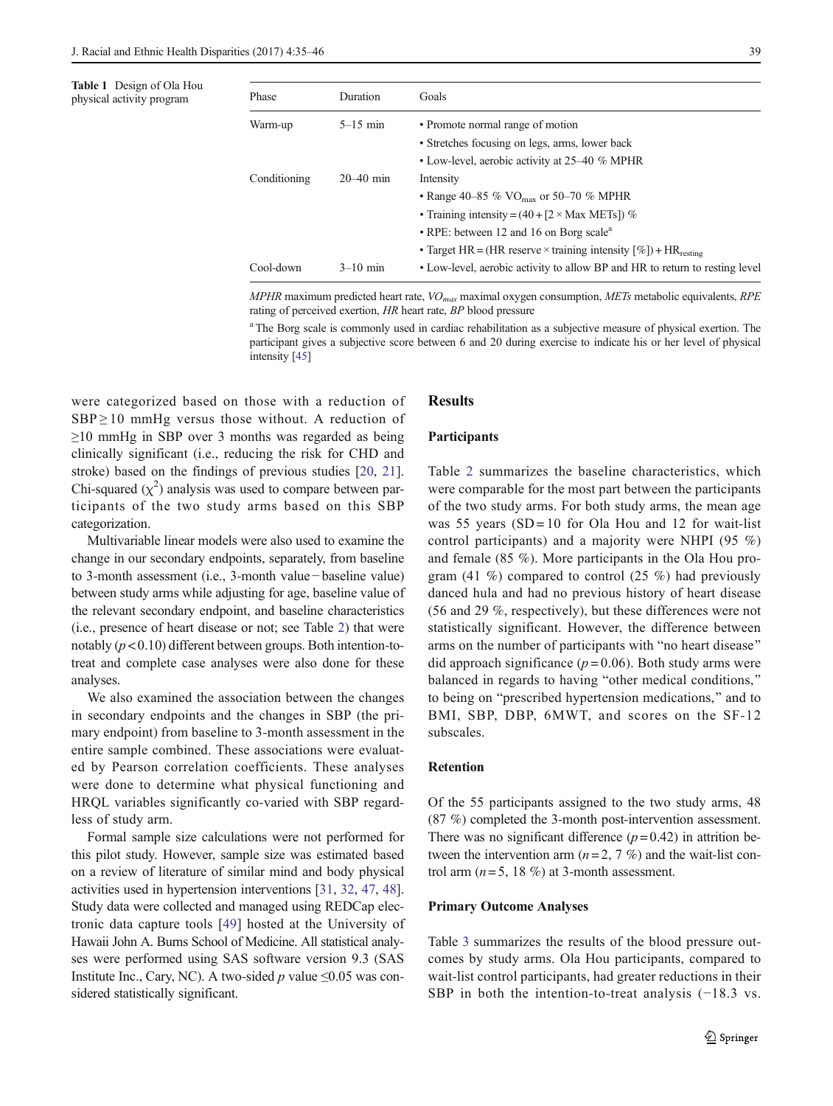<span id="page-4-0"></span>

|                           | <b>Table 1</b> Design of Ola Hou |
|---------------------------|----------------------------------|
| physical activity program |                                  |

| Table 1 Design of Ola Hou<br>physical activity program | Phase        | <b>Duration</b> | Goals                                                                                 |
|--------------------------------------------------------|--------------|-----------------|---------------------------------------------------------------------------------------|
|                                                        | Warm-up      | $5-15$ min      | • Promote normal range of motion                                                      |
|                                                        |              |                 | • Stretches focusing on legs, arms, lower back                                        |
|                                                        |              |                 | • Low-level, aerobic activity at 25–40 % MPHR                                         |
|                                                        | Conditioning | $20 - 40$ min   | Intensity                                                                             |
|                                                        |              |                 | • Range 40–85 % VO <sub>max</sub> or 50–70 % MPHR                                     |
|                                                        |              |                 | • Training intensity = $(40 + [2 \times \text{Max METS}])$ %                          |
|                                                        |              |                 | • RPE: between 12 and 16 on Borg scale <sup>a</sup>                                   |
|                                                        |              |                 | • Target HR = (HR reserve $\times$ training intensity $[\%$ ) + HR <sub>resting</sub> |
|                                                        | Cool-down    | $3-10$ min      | • Low-level, aerobic activity to allow BP and HR to return to resting level           |

MPHR maximum predicted heart rate,  $VO<sub>max</sub>$  maximal oxygen consumption, METs metabolic equivalents, RPE rating of perceived exertion, HR heart rate, BP blood pressure

<sup>a</sup> The Borg scale is commonly used in cardiac rehabilitation as a subjective measure of physical exertion. The participant gives a subjective score between 6 and 20 during exercise to indicate his or her level of physical intensity [\[45\]](#page-10-0)

were categorized based on those with a reduction of  $SBP \ge 10$  mmHg versus those without. A reduction of  $\geq$ 10 mmHg in SBP over 3 months was regarded as being clinically significant (i.e., reducing the risk for CHD and stroke) based on the findings of previous studies [\[20](#page-10-0), [21](#page-10-0)]. Chi-squared  $(\chi^2)$  analysis was used to compare between participants of the two study arms based on this SBP categorization.

Multivariable linear models were also used to examine the change in our secondary endpoints, separately, from baseline to 3-month assessment (i.e., 3-month value− baseline value) between study arms while adjusting for age, baseline value of the relevant secondary endpoint, and baseline characteristics (i.e., presence of heart disease or not; see Table [2\)](#page-5-0) that were notably  $(p < 0.10)$  different between groups. Both intention-totreat and complete case analyses were also done for these analyses.

We also examined the association between the changes in secondary endpoints and the changes in SBP (the primary endpoint) from baseline to 3-month assessment in the entire sample combined. These associations were evaluated by Pearson correlation coefficients. These analyses were done to determine what physical functioning and HRQL variables significantly co-varied with SBP regardless of study arm.

Formal sample size calculations were not performed for this pilot study. However, sample size was estimated based on a review of literature of similar mind and body physical activities used in hypertension interventions [[31](#page-10-0), [32](#page-10-0), [47](#page-10-0), [48\]](#page-11-0). Study data were collected and managed using REDCap electronic data capture tools [\[49\]](#page-11-0) hosted at the University of Hawaii John A. Burns School of Medicine. All statistical analyses were performed using SAS software version 9.3 (SAS Institute Inc., Cary, NC). A two-sided  $p$  value  $\leq 0.05$  was considered statistically significant.

## Results

#### Participants

Table [2](#page-5-0) summarizes the baseline characteristics, which were comparable for the most part between the participants of the two study arms. For both study arms, the mean age was 55 years (SD = 10 for Ola Hou and 12 for wait-list control participants) and a majority were NHPI (95 %) and female (85 %). More participants in the Ola Hou program (41 %) compared to control (25 %) had previously danced hula and had no previous history of heart disease (56 and 29 %, respectively), but these differences were not statistically significant. However, the difference between arms on the number of participants with "no heart disease" did approach significance ( $p = 0.06$ ). Both study arms were balanced in regards to having "other medical conditions," to being on "prescribed hypertension medications," and to BMI, SBP, DBP, 6MWT, and scores on the SF-12 subscales.

# Retention

Of the 55 participants assigned to the two study arms, 48 (87 %) completed the 3-month post-intervention assessment. There was no significant difference  $(p= 0.42)$  in attrition between the intervention arm  $(n=2, 7, 7)$  and the wait-list control arm  $(n=5, 18\%)$  at 3-month assessment.

# Primary Outcome Analyses

Table [3](#page-6-0) summarizes the results of the blood pressure outcomes by study arms. Ola Hou participants, compared to wait-list control participants, had greater reductions in their SBP in both the intention-to-treat analysis (−18.3 vs.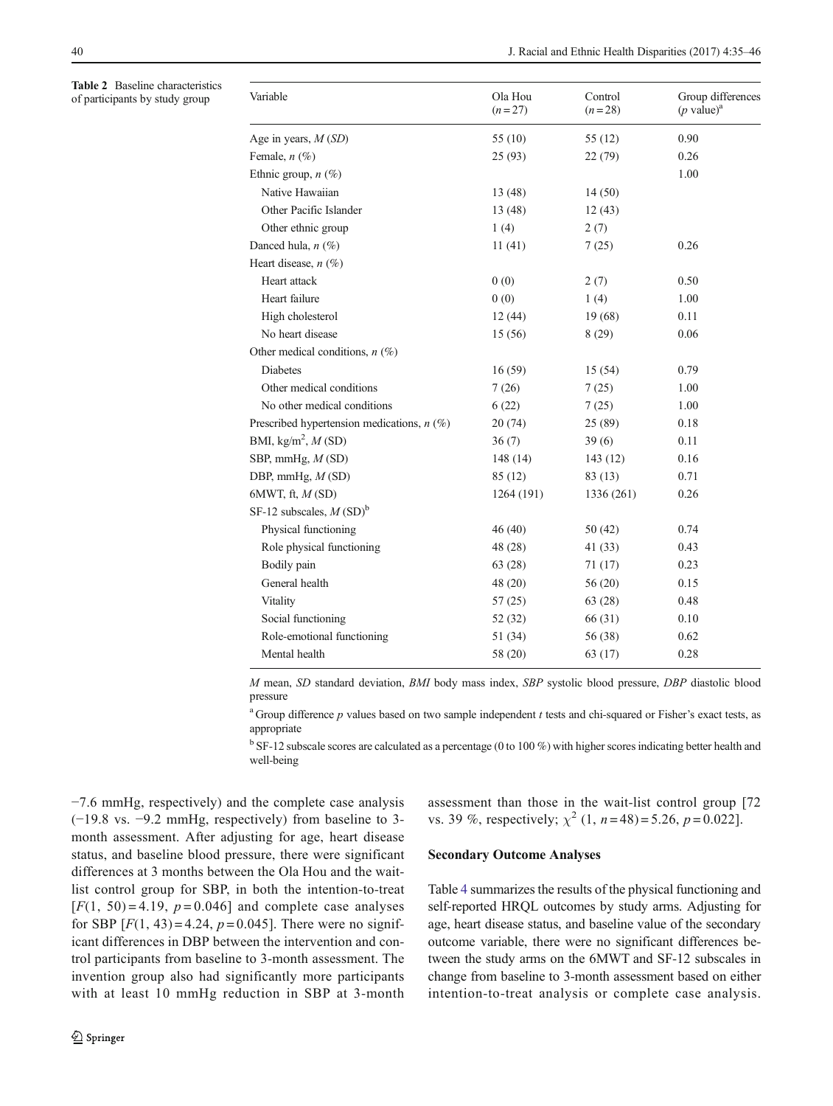<span id="page-5-0"></span>Table 2 Baseline characteristics of participants by study group

| Variable                                     | Ola Hou<br>$(n=27)$ | Control<br>$(n=28)$ | Group differences<br>$(p \text{ value})^a$ |
|----------------------------------------------|---------------------|---------------------|--------------------------------------------|
| Age in years, $M(SD)$                        | 55 (10)             | 55 (12)             | 0.90                                       |
| Female, $n$ (%)                              | 25 (93)             | 22(79)              | 0.26                                       |
| Ethnic group, $n$ (%)                        |                     |                     | 1.00                                       |
| Native Hawaiian                              | 13 (48)             | 14(50)              |                                            |
| Other Pacific Islander                       | 13 (48)             | 12(43)              |                                            |
| Other ethnic group                           | 1(4)                | 2(7)                |                                            |
| Danced hula, $n$ (%)                         | 11(41)              | 7(25)               | 0.26                                       |
| Heart disease, $n$ (%)                       |                     |                     |                                            |
| Heart attack                                 | 0(0)                | 2(7)                | 0.50                                       |
| Heart failure                                | 0(0)                | 1(4)                | 1.00                                       |
| High cholesterol                             | 12(44)              | 19 (68)             | 0.11                                       |
| No heart disease                             | 15 (56)             | 8(29)               | 0.06                                       |
| Other medical conditions, $n$ (%)            |                     |                     |                                            |
| <b>Diabetes</b>                              | 16(59)              | 15(54)              | 0.79                                       |
| Other medical conditions                     | 7(26)               | 7(25)               | 1.00                                       |
| No other medical conditions                  | 6(22)               | 7(25)               | 1.00                                       |
| Prescribed hypertension medications, $n$ (%) | 20(74)              | 25(89)              | 0.18                                       |
| BMI, kg/m <sup>2</sup> , $M(SD)$             | 36(7)               | 39(6)               | 0.11                                       |
| SBP, mmHg, $M(SD)$                           | 148(14)             | 143(12)             | 0.16                                       |
| DBP, mmHg, $M(SD)$                           | 85 (12)             | 83(13)              | 0.71                                       |
| $6MWT$ , ft, $M(SD)$                         | 1264 (191)          | 1336 (261)          | 0.26                                       |
| SF-12 subscales, $M(SD)^b$                   |                     |                     |                                            |
| Physical functioning                         | 46 (40)             | 50(42)              | 0.74                                       |
| Role physical functioning                    | 48 (28)             | 41 (33)             | 0.43                                       |
| Bodily pain                                  | 63 (28)             | 71 (17)             | 0.23                                       |
| General health                               | 48 (20)             | 56(20)              | 0.15                                       |
| Vitality                                     | 57(25)              | 63(28)              | 0.48                                       |
| Social functioning                           | 52 (32)             | 66 (31)             | 0.10                                       |
| Role-emotional functioning                   | 51 (34)             | 56 (38)             | 0.62                                       |
| Mental health                                | 58 (20)             | 63 (17)             | 0.28                                       |

M mean, SD standard deviation, BMI body mass index, SBP systolic blood pressure, DBP diastolic blood pressure

<sup>a</sup> Group difference p values based on two sample independent t tests and chi-squared or Fisher's exact tests, as appropriate

 $b$  SF-12 subscale scores are calculated as a percentage (0 to 100 %) with higher scores indicating better health and well-being

−7.6 mmHg, respectively) and the complete case analysis (−19.8 vs. −9.2 mmHg, respectively) from baseline to 3 month assessment. After adjusting for age, heart disease status, and baseline blood pressure, there were significant differences at 3 months between the Ola Hou and the waitlist control group for SBP, in both the intention-to-treat  $[F(1, 50) = 4.19, p = 0.046]$  and complete case analyses for SBP  $[F(1, 43) = 4.24, p = 0.045]$ . There were no significant differences in DBP between the intervention and control participants from baseline to 3-month assessment. The invention group also had significantly more participants with at least 10 mmHg reduction in SBP at 3-month assessment than those in the wait-list control group [72 vs. 39 %, respectively;  $\chi^2$  (1, n = 48) = 5.26, p = 0.022].

### Secondary Outcome Analyses

Table [4](#page-7-0) summarizes the results of the physical functioning and self-reported HRQL outcomes by study arms. Adjusting for age, heart disease status, and baseline value of the secondary outcome variable, there were no significant differences between the study arms on the 6MWT and SF-12 subscales in change from baseline to 3-month assessment based on either intention-to-treat analysis or complete case analysis.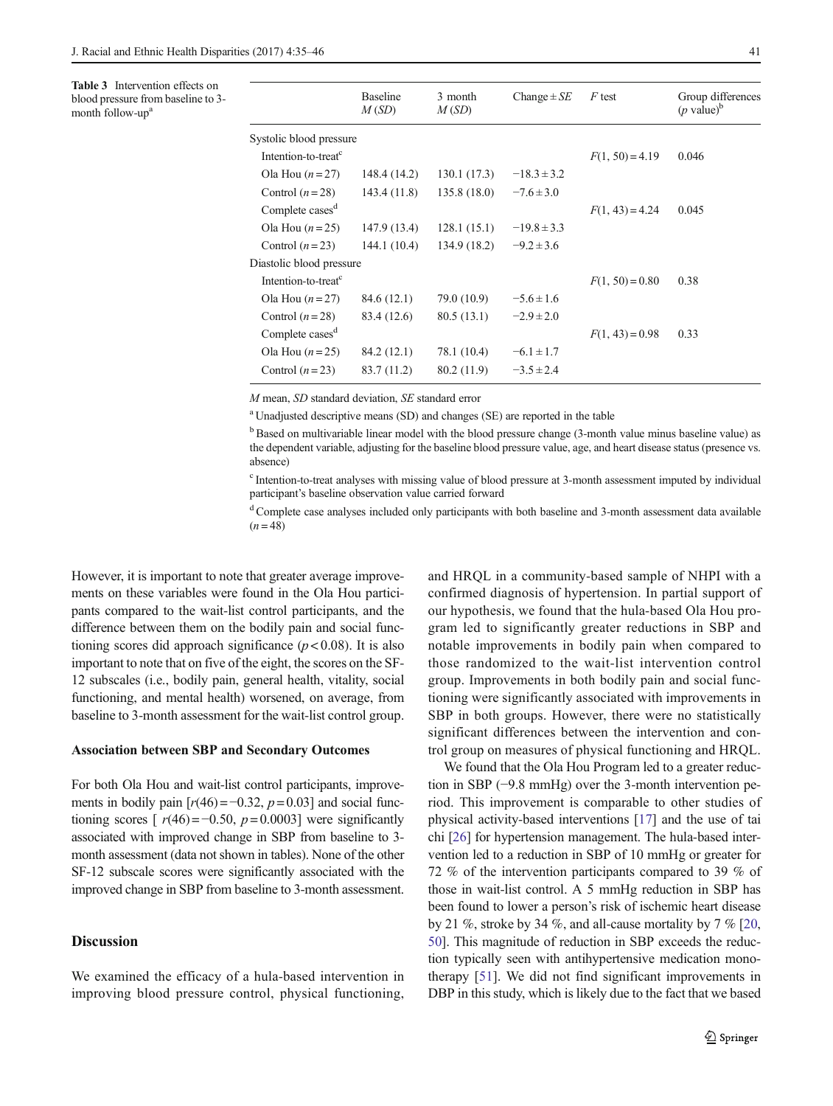<span id="page-6-0"></span>Table 3 Intervention effects on blood pressure from baseline to 3 month follow-up<sup>a</sup>

|                                 | <b>Baseline</b><br>M(SD) | 3 month<br>M(SD) | Change $\pm SE$ | F test            | Group differences<br>$(p \text{ value})^b$ |
|---------------------------------|--------------------------|------------------|-----------------|-------------------|--------------------------------------------|
| Systolic blood pressure         |                          |                  |                 |                   |                                            |
| Intention-to-treat <sup>c</sup> |                          |                  |                 | $F(1, 50) = 4.19$ | 0.046                                      |
| Ola Hou $(n=27)$                | 148.4 (14.2)             | 130.1(17.3)      | $-18.3 \pm 3.2$ |                   |                                            |
| Control $(n=28)$                | 143.4(11.8)              | 135.8(18.0)      | $-7.6 \pm 3.0$  |                   |                                            |
| Complete cases <sup>d</sup>     |                          |                  |                 | $F(1, 43) = 4.24$ | 0.045                                      |
| Ola Hou $(n=25)$                | 147.9 (13.4)             | 128.1(15.1)      | $-19.8 \pm 3.3$ |                   |                                            |
| Control $(n=23)$                | 144.1(10.4)              | 134.9(18.2)      | $-9.2 \pm 3.6$  |                   |                                            |
| Diastolic blood pressure        |                          |                  |                 |                   |                                            |
| Intention-to-treat <sup>c</sup> |                          |                  |                 | $F(1, 50) = 0.80$ | 0.38                                       |
| Ola Hou $(n=27)$                | 84.6 (12.1)              | 79.0 (10.9)      | $-5.6 \pm 1.6$  |                   |                                            |
| Control $(n=28)$                | 83.4 (12.6)              | 80.5(13.1)       | $-2.9 \pm 2.0$  |                   |                                            |
| Complete cases <sup>d</sup>     |                          |                  |                 | $F(1, 43) = 0.98$ | 0.33                                       |
| Ola Hou $(n=25)$                | 84.2 (12.1)              | 78.1 (10.4)      | $-6.1 \pm 1.7$  |                   |                                            |
| Control $(n=23)$                | 83.7 (11.2)              | 80.2 (11.9)      | $-3.5 \pm 2.4$  |                   |                                            |

M mean, SD standard deviation, SE standard error

<sup>a</sup> Unadjusted descriptive means (SD) and changes (SE) are reported in the table

<sup>b</sup>Based on multivariable linear model with the blood pressure change (3-month value minus baseline value) as the dependent variable, adjusting for the baseline blood pressure value, age, and heart disease status (presence vs. absence)

<sup>c</sup> Intention-to-treat analyses with missing value of blood pressure at 3-month assessment imputed by individual participant's baseline observation value carried forward

<sup>d</sup> Complete case analyses included only participants with both baseline and 3-month assessment data available  $(n = 48)$ 

However, it is important to note that greater average improvements on these variables were found in the Ola Hou participants compared to the wait-list control participants, and the difference between them on the bodily pain and social functioning scores did approach significance ( $p < 0.08$ ). It is also important to note that on five of the eight, the scores on the SF-12 subscales (i.e., bodily pain, general health, vitality, social functioning, and mental health) worsened, on average, from baseline to 3-month assessment for the wait-list control group.

### Association between SBP and Secondary Outcomes

For both Ola Hou and wait-list control participants, improvements in bodily pain  $[r(46) = -0.32, p = 0.03]$  and social functioning scores  $[r(46) = -0.50, p = 0.0003]$  were significantly associated with improved change in SBP from baseline to 3 month assessment (data not shown in tables). None of the other SF-12 subscale scores were significantly associated with the improved change in SBP from baseline to 3-month assessment.

# **Discussion**

We examined the efficacy of a hula-based intervention in improving blood pressure control, physical functioning,

and HRQL in a community-based sample of NHPI with a confirmed diagnosis of hypertension. In partial support of our hypothesis, we found that the hula-based Ola Hou program led to significantly greater reductions in SBP and notable improvements in bodily pain when compared to those randomized to the wait-list intervention control group. Improvements in both bodily pain and social functioning were significantly associated with improvements in SBP in both groups. However, there were no statistically significant differences between the intervention and control group on measures of physical functioning and HRQL.

We found that the Ola Hou Program led to a greater reduction in SBP (−9.8 mmHg) over the 3-month intervention period. This improvement is comparable to other studies of physical activity-based interventions [[17](#page-10-0)] and the use of tai chi [[26\]](#page-10-0) for hypertension management. The hula-based intervention led to a reduction in SBP of 10 mmHg or greater for 72 % of the intervention participants compared to 39 % of those in wait-list control. A 5 mmHg reduction in SBP has been found to lower a person's risk of ischemic heart disease by 21 %, stroke by 34 %, and all-cause mortality by 7 % [[20,](#page-10-0) [50\]](#page-11-0). This magnitude of reduction in SBP exceeds the reduction typically seen with antihypertensive medication monotherapy [[51\]](#page-11-0). We did not find significant improvements in DBP in this study, which is likely due to the fact that we based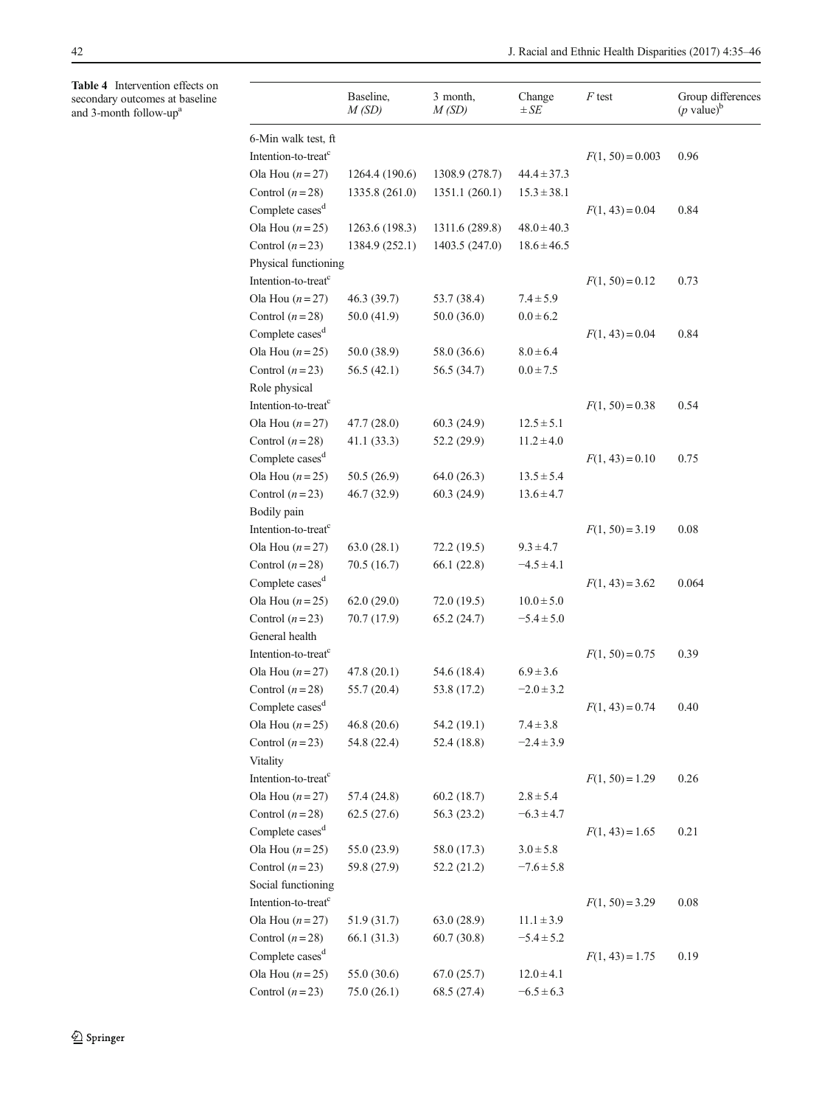<span id="page-7-0"></span>Table 4 Intervention effects on secondary outcomes at baseline and 3-month follow-up<sup>a</sup>

|                                 | Baseline,<br>M(SD) | 3 month,<br>M(SD) | Change<br>$\pm SE$ | $F$ test           | Group differences<br>$(p \text{ value})^b$ |
|---------------------------------|--------------------|-------------------|--------------------|--------------------|--------------------------------------------|
| 6-Min walk test, ft             |                    |                   |                    |                    |                                            |
| Intention-to-treat <sup>c</sup> |                    |                   |                    | $F(1, 50) = 0.003$ | 0.96                                       |
| Ola Hou $(n=27)$                | 1264.4 (190.6)     | 1308.9 (278.7)    | $44.4 \pm 37.3$    |                    |                                            |
| Control $(n=28)$                | 1335.8 (261.0)     | 1351.1 (260.1)    | $15.3 \pm 38.1$    |                    |                                            |
| Complete cases <sup>d</sup>     |                    |                   |                    | $F(1, 43) = 0.04$  | 0.84                                       |
| Ola Hou $(n=25)$                | 1263.6 (198.3)     | 1311.6 (289.8)    | $48.0 \pm 40.3$    |                    |                                            |
| Control $(n=23)$                | 1384.9 (252.1)     | 1403.5 (247.0)    | $18.6 \pm 46.5$    |                    |                                            |
| Physical functioning            |                    |                   |                    |                    |                                            |
| Intention-to-treat <sup>c</sup> |                    |                   |                    | $F(1, 50) = 0.12$  | 0.73                                       |
| Ola Hou $(n=27)$                | 46.3 (39.7)        | 53.7 (38.4)       | $7.4 \pm 5.9$      |                    |                                            |
| Control $(n=28)$                | 50.0 (41.9)        | 50.0(36.0)        | $0.0 \pm 6.2$      |                    |                                            |
| Complete cases <sup>d</sup>     |                    |                   |                    | $F(1, 43) = 0.04$  | 0.84                                       |
| Ola Hou $(n=25)$                | 50.0 (38.9)        | 58.0 (36.6)       | $8.0 \pm 6.4$      |                    |                                            |
| Control $(n=23)$                | 56.5(42.1)         | 56.5 (34.7)       | $0.0 \pm 7.5$      |                    |                                            |
| Role physical                   |                    |                   |                    |                    |                                            |
| Intention-to-treat <sup>c</sup> |                    |                   |                    | $F(1, 50) = 0.38$  | 0.54                                       |
| Ola Hou $(n=27)$                | 47.7(28.0)         | 60.3(24.9)        | $12.5 \pm 5.1$     |                    |                                            |
| Control $(n=28)$                | 41.1(33.3)         | 52.2 (29.9)       | $11.2 \pm 4.0$     |                    |                                            |
| Complete cases <sup>d</sup>     |                    |                   |                    | $F(1, 43) = 0.10$  | 0.75                                       |
| Ola Hou $(n=25)$                | 50.5(26.9)         | 64.0(26.3)        | $13.5 \pm 5.4$     |                    |                                            |
| Control $(n=23)$                | 46.7(32.9)         | 60.3(24.9)        | $13.6 \pm 4.7$     |                    |                                            |
| Bodily pain                     |                    |                   |                    |                    |                                            |
| Intention-to-treat <sup>c</sup> |                    |                   |                    | $F(1, 50) = 3.19$  | 0.08                                       |
| Ola Hou $(n=27)$                | 63.0(28.1)         | 72.2(19.5)        | $9.3 \pm 4.7$      |                    |                                            |
| Control $(n=28)$                | 70.5 (16.7)        | 66.1(22.8)        | $-4.5 \pm 4.1$     |                    |                                            |
| Complete cases <sup>d</sup>     |                    |                   |                    | $F(1, 43) = 3.62$  | 0.064                                      |
| Ola Hou $(n=25)$                | 62.0(29.0)         | 72.0(19.5)        | $10.0 \pm 5.0$     |                    |                                            |
| Control $(n=23)$                | 70.7 (17.9)        | 65.2(24.7)        | $-5.4 \pm 5.0$     |                    |                                            |
| General health                  |                    |                   |                    |                    |                                            |
| Intention-to-treat <sup>c</sup> |                    |                   |                    | $F(1, 50) = 0.75$  | 0.39                                       |
| Ola Hou $(n=27)$                | 47.8(20.1)         | 54.6 (18.4)       | $6.9 \pm 3.6$      |                    |                                            |
| Control $(n=28)$                | 55.7 (20.4)        | 53.8 (17.2)       | $-2.0 \pm 3.2$     |                    |                                            |
| Complete cases <sup>d</sup>     |                    |                   |                    | $F(1, 43) = 0.74$  | 0.40                                       |
| Ola Hou $(n=25)$                | 46.8(20.6)         | 54.2 (19.1)       | $7.4 \pm 3.8$      |                    |                                            |
| Control $(n=23)$                | 54.8 (22.4)        | 52.4(18.8)        | $-2.4 \pm 3.9$     |                    |                                            |
| Vitality                        |                    |                   |                    |                    |                                            |
| Intention-to-treat <sup>c</sup> |                    |                   |                    | $F(1, 50) = 1.29$  | 0.26                                       |
| Ola Hou $(n=27)$                | 57.4 (24.8)        | 60.2(18.7)        | $2.8 \pm 5.4$      |                    |                                            |
| Control $(n=28)$                | 62.5(27.6)         | 56.3(23.2)        | $-6.3 \pm 4.7$     |                    |                                            |
| Complete cases <sup>d</sup>     |                    |                   |                    | $F(1, 43) = 1.65$  | 0.21                                       |
| Ola Hou $(n=25)$                | 55.0 (23.9)        | 58.0 (17.3)       | $3.0 \pm 5.8$      |                    |                                            |
| Control $(n=23)$                | 59.8 (27.9)        | 52.2(21.2)        | $-7.6 \pm 5.8$     |                    |                                            |
| Social functioning              |                    |                   |                    |                    |                                            |
| Intention-to-treat <sup>c</sup> |                    |                   |                    |                    | 0.08                                       |
|                                 |                    |                   |                    | $F(1, 50) = 3.29$  |                                            |
| Ola Hou $(n=27)$                | 51.9 (31.7)        | 63.0(28.9)        | $11.1 \pm 3.9$     |                    |                                            |
| Control $(n=28)$                | 66.1 (31.3)        | 60.7(30.8)        | $-5.4 \pm 5.2$     |                    |                                            |
| Complete cases <sup>d</sup>     |                    |                   |                    | $F(1, 43) = 1.75$  | 0.19                                       |
| Ola Hou $(n=25)$                | 55.0 (30.6)        | 67.0(25.7)        | $12.0 \pm 4.1$     |                    |                                            |
| Control $(n=23)$                | 75.0(26.1)         | 68.5 (27.4)       | $-6.5 \pm 6.3$     |                    |                                            |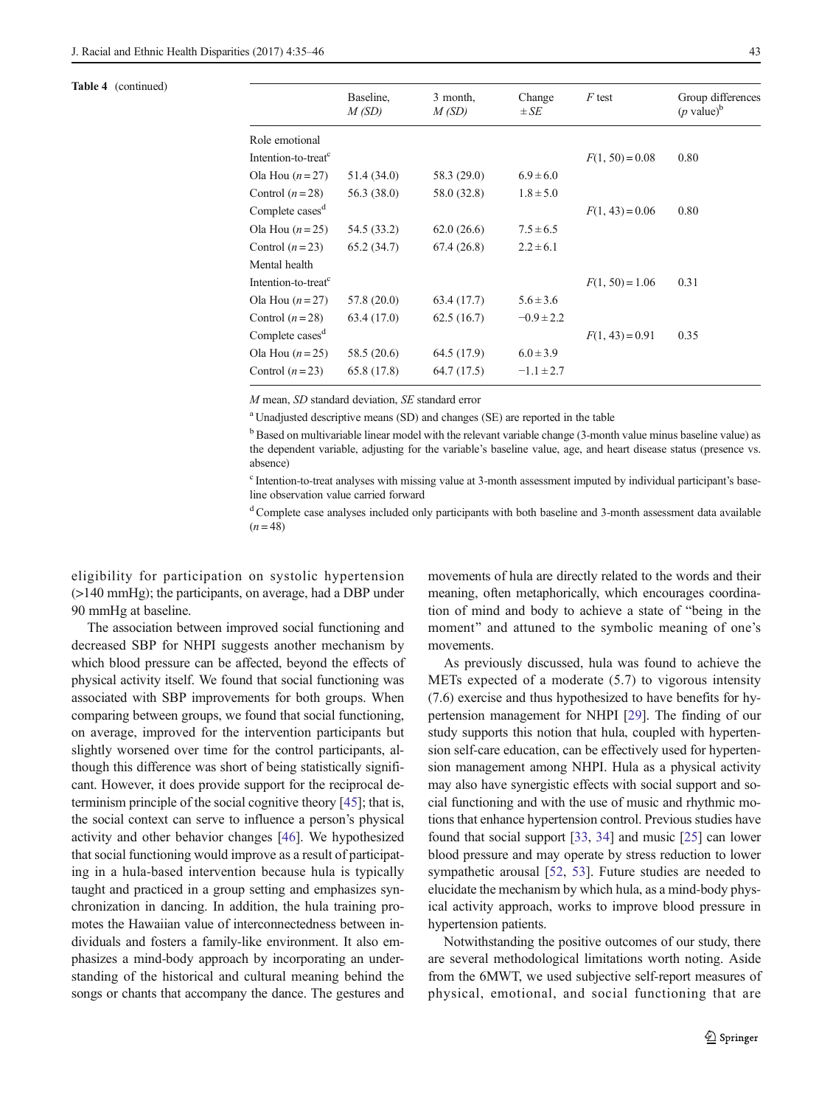### Table 4 (continued)

|                                 | Baseline,<br>M(SD) | 3 month,<br>M(SD) | Change<br>$\pm SE$ | F test            | Group differences<br>$(p \text{ value})^b$ |
|---------------------------------|--------------------|-------------------|--------------------|-------------------|--------------------------------------------|
| Role emotional                  |                    |                   |                    |                   |                                            |
| Intention-to-treat <sup>c</sup> |                    |                   |                    | $F(1, 50) = 0.08$ | 0.80                                       |
| Ola Hou $(n=27)$                | 51.4 (34.0)        | 58.3 (29.0)       | $6.9 \pm 6.0$      |                   |                                            |
| Control $(n=28)$                | 56.3 (38.0)        | 58.0 (32.8)       | $1.8 \pm 5.0$      |                   |                                            |
| Complete cases <sup>d</sup>     |                    |                   |                    | $F(1, 43) = 0.06$ | 0.80                                       |
| Ola Hou $(n=25)$                | 54.5 (33.2)        | 62.0(26.6)        | $7.5 \pm 6.5$      |                   |                                            |
| Control $(n=23)$                | 65.2(34.7)         | 67.4(26.8)        | $2.2 \pm 6.1$      |                   |                                            |
| Mental health                   |                    |                   |                    |                   |                                            |
| Intention-to-treat <sup>c</sup> |                    |                   |                    | $F(1, 50) = 1.06$ | 0.31                                       |
| Ola Hou $(n=27)$                | 57.8 (20.0)        | 63.4 (17.7)       | $5.6 \pm 3.6$      |                   |                                            |
| Control $(n=28)$                | 63.4 (17.0)        | 62.5(16.7)        | $-0.9 \pm 2.2$     |                   |                                            |
| Complete cases <sup>d</sup>     |                    |                   |                    | $F(1, 43) = 0.91$ | 0.35                                       |
| Ola Hou $(n=25)$                | 58.5 (20.6)        | 64.5 (17.9)       | $6.0 \pm 3.9$      |                   |                                            |
| Control $(n=23)$                | 65.8 (17.8)        | 64.7(17.5)        | $-1.1 \pm 2.7$     |                   |                                            |
|                                 |                    |                   |                    |                   |                                            |

M mean, SD standard deviation, SE standard error

<sup>a</sup> Unadjusted descriptive means (SD) and changes (SE) are reported in the table

 $<sup>b</sup>$  Based on multivariable linear model with the relevant variable change (3-month value minus baseline value) as</sup> the dependent variable, adjusting for the variable's baseline value, age, and heart disease status (presence vs. absence)

<sup>c</sup> Intention-to-treat analyses with missing value at 3-month assessment imputed by individual participant's baseline observation value carried forward

<sup>d</sup> Complete case analyses included only participants with both baseline and 3-month assessment data available  $(n = 48)$ 

eligibility for participation on systolic hypertension (>140 mmHg); the participants, on average, had a DBP under 90 mmHg at baseline.

The association between improved social functioning and decreased SBP for NHPI suggests another mechanism by which blood pressure can be affected, beyond the effects of physical activity itself. We found that social functioning was associated with SBP improvements for both groups. When comparing between groups, we found that social functioning, on average, improved for the intervention participants but slightly worsened over time for the control participants, although this difference was short of being statistically significant. However, it does provide support for the reciprocal determinism principle of the social cognitive theory [[45\]](#page-10-0); that is, the social context can serve to influence a person's physical activity and other behavior changes [[46\]](#page-10-0). We hypothesized that social functioning would improve as a result of participating in a hula-based intervention because hula is typically taught and practiced in a group setting and emphasizes synchronization in dancing. In addition, the hula training promotes the Hawaiian value of interconnectedness between individuals and fosters a family-like environment. It also emphasizes a mind-body approach by incorporating an understanding of the historical and cultural meaning behind the songs or chants that accompany the dance. The gestures and

movements of hula are directly related to the words and their meaning, often metaphorically, which encourages coordination of mind and body to achieve a state of "being in the moment" and attuned to the symbolic meaning of one's movements.

As previously discussed, hula was found to achieve the METs expected of a moderate (5.7) to vigorous intensity (7.6) exercise and thus hypothesized to have benefits for hypertension management for NHPI [\[29\]](#page-10-0). The finding of our study supports this notion that hula, coupled with hypertension self-care education, can be effectively used for hypertension management among NHPI. Hula as a physical activity may also have synergistic effects with social support and social functioning and with the use of music and rhythmic motions that enhance hypertension control. Previous studies have found that social support [[33,](#page-10-0) [34](#page-10-0)] and music [\[25](#page-10-0)] can lower blood pressure and may operate by stress reduction to lower sympathetic arousal [[52,](#page-11-0) [53](#page-11-0)]. Future studies are needed to elucidate the mechanism by which hula, as a mind-body physical activity approach, works to improve blood pressure in hypertension patients.

Notwithstanding the positive outcomes of our study, there are several methodological limitations worth noting. Aside from the 6MWT, we used subjective self-report measures of physical, emotional, and social functioning that are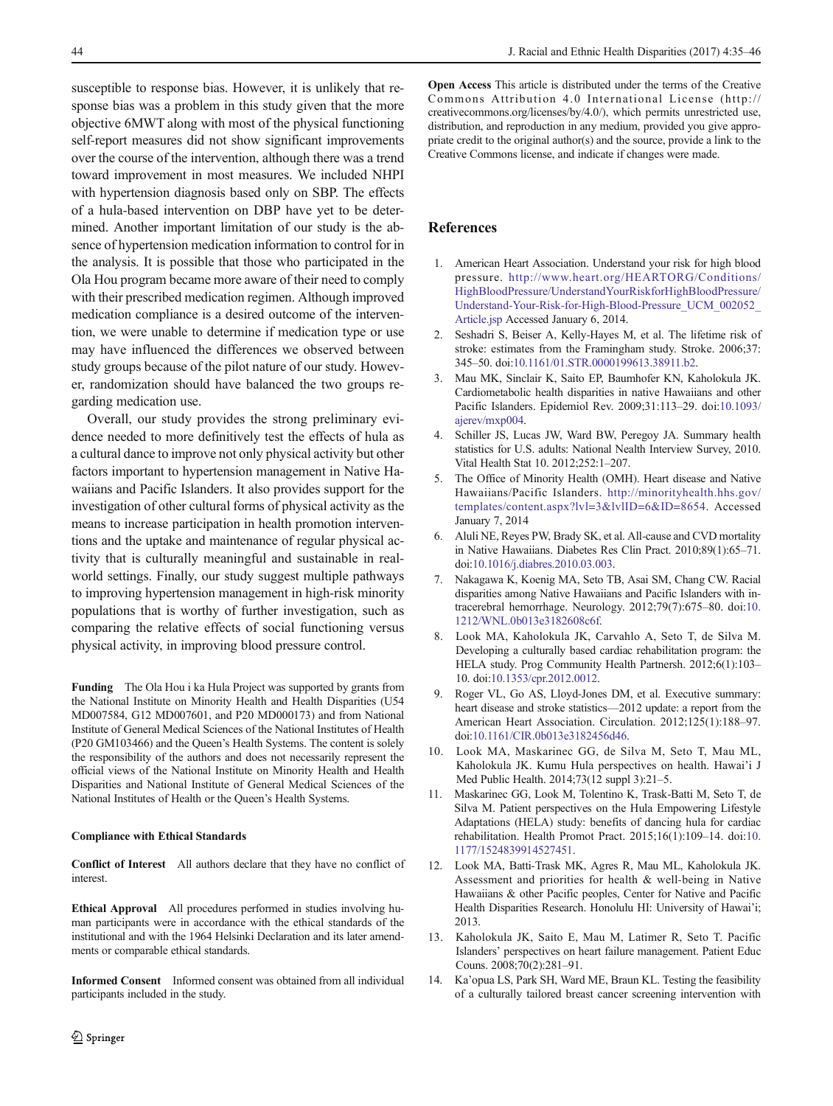<span id="page-9-0"></span>susceptible to response bias. However, it is unlikely that response bias was a problem in this study given that the more objective 6MWT along with most of the physical functioning self-report measures did not show significant improvements over the course of the intervention, although there was a trend toward improvement in most measures. We included NHPI with hypertension diagnosis based only on SBP. The effects of a hula-based intervention on DBP have yet to be determined. Another important limitation of our study is the absence of hypertension medication information to control for in the analysis. It is possible that those who participated in the Ola Hou program became more aware of their need to comply with their prescribed medication regimen. Although improved medication compliance is a desired outcome of the intervention, we were unable to determine if medication type or use may have influenced the differences we observed between study groups because of the pilot nature of our study. However, randomization should have balanced the two groups regarding medication use.

Overall, our study provides the strong preliminary evidence needed to more definitively test the effects of hula as a cultural dance to improve not only physical activity but other factors important to hypertension management in Native Hawaiians and Pacific Islanders. It also provides support for the investigation of other cultural forms of physical activity as the means to increase participation in health promotion interventions and the uptake and maintenance of regular physical activity that is culturally meaningful and sustainable in realworld settings. Finally, our study suggest multiple pathways to improving hypertension management in high-risk minority populations that is worthy of further investigation, such as comparing the relative effects of social functioning versus physical activity, in improving blood pressure control.

Funding The Ola Hou i ka Hula Project was supported by grants from the National Institute on Minority Health and Health Disparities (U54 MD007584, G12 MD007601, and P20 MD000173) and from National Institute of General Medical Sciences of the National Institutes of Health (P20 GM103466) and the Queen's Health Systems. The content is solely the responsibility of the authors and does not necessarily represent the official views of the National Institute on Minority Health and Health Disparities and National Institute of General Medical Sciences of the National Institutes of Health or the Queen's Health Systems.

#### Compliance with Ethical Standards

Conflict of Interest All authors declare that they have no conflict of interest.

Ethical Approval All procedures performed in studies involving human participants were in accordance with the ethical standards of the institutional and with the 1964 Helsinki Declaration and its later amendments or comparable ethical standards.

Informed Consent Informed consent was obtained from all individual participants included in the study.

Open Access This article is distributed under the terms of the Creative Commons Attribution 4.0 International License (http:// creativecommons.org/licenses/by/4.0/), which permits unrestricted use, distribution, and reproduction in any medium, provided you give appropriate credit to the original author(s) and the source, provide a link to the Creative Commons license, and indicate if changes were made.

# References

- 1. American Heart Association. Understand your risk for high blood pressure. [http://www.heart.org/HEARTORG/Conditions/](http://www.heart.org/HEARTORG/Conditions/HighBloodPressure/UnderstandYourRiskforHighBloodPressure/Understand-Your-Risk-for-High-Blood-Pressure_UCM_002052_Article.jsp) [HighBloodPressure/UnderstandYourRiskforHighBloodPressure/](http://www.heart.org/HEARTORG/Conditions/HighBloodPressure/UnderstandYourRiskforHighBloodPressure/Understand-Your-Risk-for-High-Blood-Pressure_UCM_002052_Article.jsp) [Understand-Your-Risk-for-High-Blood-Pressure\\_UCM\\_002052\\_](http://www.heart.org/HEARTORG/Conditions/HighBloodPressure/UnderstandYourRiskforHighBloodPressure/Understand-Your-Risk-for-High-Blood-Pressure_UCM_002052_Article.jsp) [Article.jsp](http://www.heart.org/HEARTORG/Conditions/HighBloodPressure/UnderstandYourRiskforHighBloodPressure/Understand-Your-Risk-for-High-Blood-Pressure_UCM_002052_Article.jsp) Accessed January 6, 2014.
- 2. Seshadri S, Beiser A, Kelly-Hayes M, et al. The lifetime risk of stroke: estimates from the Framingham study. Stroke. 2006;37: 345–50. doi[:10.1161/01.STR.0000199613.38911.b2](http://dx.doi.org/10.1161/01.STR.0000199613.38911.b2).
- 3. Mau MK, Sinclair K, Saito EP, Baumhofer KN, Kaholokula JK. Cardiometabolic health disparities in native Hawaiians and other Pacific Islanders. Epidemiol Rev. 2009;31:113–29. doi:[10.1093/](http://dx.doi.org/10.1093/ajerev/mxp004) [ajerev/mxp004](http://dx.doi.org/10.1093/ajerev/mxp004).
- 4. Schiller JS, Lucas JW, Ward BW, Peregoy JA. Summary health statistics for U.S. adults: National Nealth Interview Survey, 2010. Vital Health Stat 10. 2012;252:1–207.
- 5. The Office of Minority Health (OMH). Heart disease and Native Hawaiians/Pacific Islanders. [http://minorityhealth.hhs.gov/](http://minorityhealth.hhs.gov/templates/content.aspx?lvl=3&lvlID=6&ID=8654) [templates/content.aspx?lvl=3&lvlID=6&ID=8654.](http://minorityhealth.hhs.gov/templates/content.aspx?lvl=3&lvlID=6&ID=8654) Accessed January 7, 2014
- 6. Aluli NE, Reyes PW, Brady SK, et al. All-cause and CVD mortality in Native Hawaiians. Diabetes Res Clin Pract. 2010;89(1):65–71. doi[:10.1016/j.diabres.2010.03.003](http://dx.doi.org/10.1016/j.diabres.2010.03.003).
- 7. Nakagawa K, Koenig MA, Seto TB, Asai SM, Chang CW. Racial disparities among Native Hawaiians and Pacific Islanders with intracerebral hemorrhage. Neurology. 2012;79(7):675–80. doi:[10.](http://dx.doi.org/10.1212/WNL.0b013e3182608c6f) [1212/WNL.0b013e3182608c6f.](http://dx.doi.org/10.1212/WNL.0b013e3182608c6f)
- 8. Look MA, Kaholokula JK, Carvahlo A, Seto T, de Silva M. Developing a culturally based cardiac rehabilitation program: the HELA study. Prog Community Health Partnersh. 2012;6(1):103– 10. doi[:10.1353/cpr.2012.0012](http://dx.doi.org/10.1353/cpr.2012.0012).
- 9. Roger VL, Go AS, Lloyd-Jones DM, et al. Executive summary: heart disease and stroke statistics—2012 update: a report from the American Heart Association. Circulation. 2012;125(1):188–97. doi[:10.1161/CIR.0b013e3182456d46](http://dx.doi.org/10.1161/CIR.0b013e3182456d46).
- 10. Look MA, Maskarinec GG, de Silva M, Seto T, Mau ML, Kaholokula JK. Kumu Hula perspectives on health. Hawai'i J Med Public Health. 2014;73(12 suppl 3):21–5.
- 11. Maskarinec GG, Look M, Tolentino K, Trask-Batti M, Seto T, de Silva M. Patient perspectives on the Hula Empowering Lifestyle Adaptations (HELA) study: benefits of dancing hula for cardiac rehabilitation. Health Promot Pract. 2015;16(1):109–14. doi:[10.](http://dx.doi.org/10.1177/1524839914527451) [1177/1524839914527451.](http://dx.doi.org/10.1177/1524839914527451)
- 12. Look MA, Batti-Trask MK, Agres R, Mau ML, Kaholokula JK. Assessment and priorities for health & well-being in Native Hawaiians & other Pacific peoples, Center for Native and Pacific Health Disparities Research. Honolulu HI: University of Hawai'i; 2013.
- 13. Kaholokula JK, Saito E, Mau M, Latimer R, Seto T. Pacific Islanders' perspectives on heart failure management. Patient Educ Couns. 2008;70(2):281–91.
- 14. Ka'opua LS, Park SH, Ward ME, Braun KL. Testing the feasibility of a culturally tailored breast cancer screening intervention with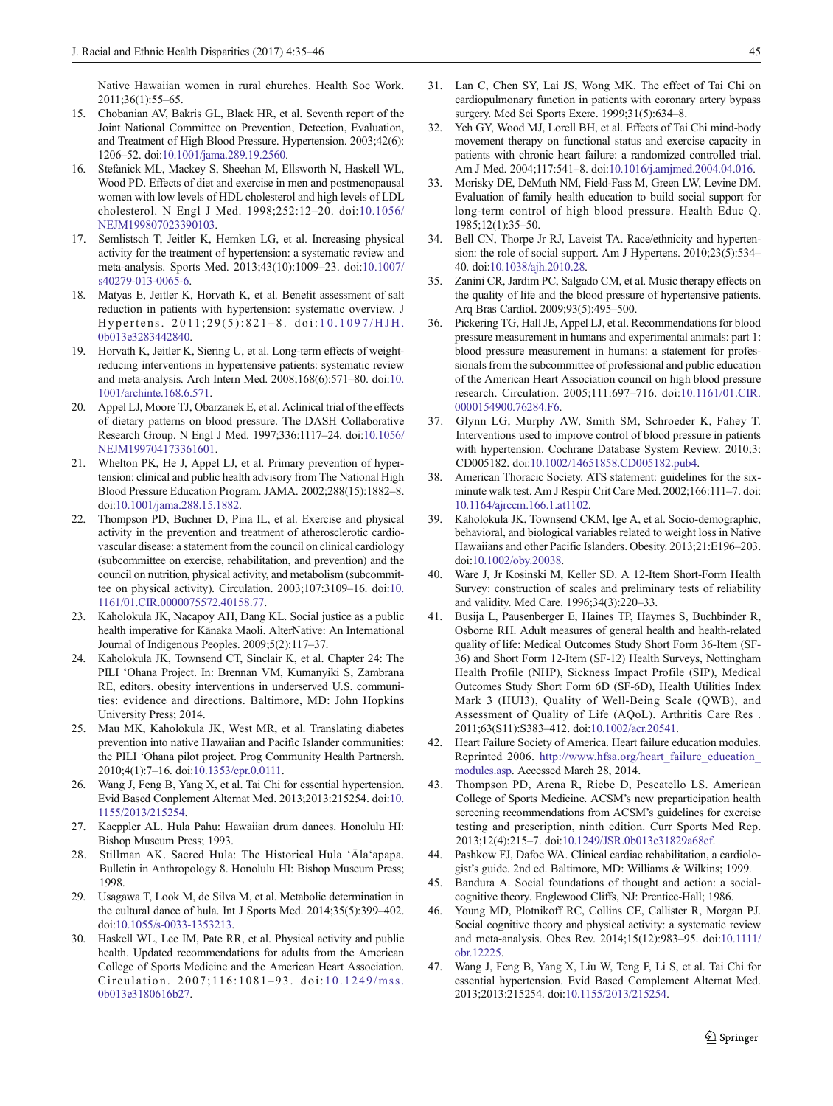<span id="page-10-0"></span>Native Hawaiian women in rural churches. Health Soc Work. 2011;36(1):55–65.

- 15. Chobanian AV, Bakris GL, Black HR, et al. Seventh report of the Joint National Committee on Prevention, Detection, Evaluation, and Treatment of High Blood Pressure. Hypertension. 2003;42(6): 1206–52. doi[:10.1001/jama.289.19.2560](http://dx.doi.org/10.1001/jama.289.19.2560).
- 16. Stefanick ML, Mackey S, Sheehan M, Ellsworth N, Haskell WL, Wood PD. Effects of diet and exercise in men and postmenopausal women with low levels of HDL cholesterol and high levels of LDL cholesterol. N Engl J Med. 1998;252:12–20. doi:[10.1056/](http://dx.doi.org/10.1056/NEJM199807023390103) [NEJM199807023390103.](http://dx.doi.org/10.1056/NEJM199807023390103)
- 17. Semlistsch T, Jeitler K, Hemken LG, et al. Increasing physical activity for the treatment of hypertension: a systematic review and meta-analysis. Sports Med. 2013;43(10):1009–23. doi[:10.1007/](http://dx.doi.org/10.1007/s40279-013-0065-6) [s40279-013-0065-6](http://dx.doi.org/10.1007/s40279-013-0065-6).
- 18. Matyas E, Jeitler K, Horvath K, et al. Benefit assessment of salt reduction in patients with hypertension: systematic overview. J Hypertens. 2011;29(5):821-8. doi:[10.1097/HJH.](http://dx.doi.org/10.1097/HJH.0b013e3283442840) [0b013e3283442840.](http://dx.doi.org/10.1097/HJH.0b013e3283442840)
- 19. Horvath K, Jeitler K, Siering U, et al. Long-term effects of weightreducing interventions in hypertensive patients: systematic review and meta-analysis. Arch Intern Med. 2008;168(6):571–80. doi:[10.](http://dx.doi.org/10.1001/archinte.168.6.571) [1001/archinte.168.6.571.](http://dx.doi.org/10.1001/archinte.168.6.571)
- 20. Appel LJ, Moore TJ, Obarzanek E, et al. Aclinical trial of the effects of dietary patterns on blood pressure. The DASH Collaborative Research Group. N Engl J Med. 1997;336:1117–24. doi[:10.1056/](http://dx.doi.org/10.1056/NEJM199704173361601) [NEJM199704173361601.](http://dx.doi.org/10.1056/NEJM199704173361601)
- 21. Whelton PK, He J, Appel LJ, et al. Primary prevention of hypertension: clinical and public health advisory from The National High Blood Pressure Education Program. JAMA. 2002;288(15):1882–8. doi:[10.1001/jama.288.15.1882.](http://dx.doi.org/10.1001/jama.288.15.1882)
- 22. Thompson PD, Buchner D, Pina IL, et al. Exercise and physical activity in the prevention and treatment of atherosclerotic cardiovascular disease: a statement from the council on clinical cardiology (subcommittee on exercise, rehabilitation, and prevention) and the council on nutrition, physical activity, and metabolism (subcommittee on physical activity). Circulation. 2003;107:3109–16. doi:[10.](http://dx.doi.org/10.1161/01.CIR.0000075572.40158.77) [1161/01.CIR.0000075572.40158.77.](http://dx.doi.org/10.1161/01.CIR.0000075572.40158.77)
- 23. Kaholokula JK, Nacapoy AH, Dang KL. Social justice as a public health imperative for Kānaka Maoli. AlterNative: An International Journal of Indigenous Peoples. 2009;5(2):117–37.
- 24. Kaholokula JK, Townsend CT, Sinclair K, et al. Chapter 24: The PILI 'Ohana Project. In: Brennan VM, Kumanyiki S, Zambrana RE, editors. obesity interventions in underserved U.S. communities: evidence and directions. Baltimore, MD: John Hopkins University Press; 2014.
- 25. Mau MK, Kaholokula JK, West MR, et al. Translating diabetes prevention into native Hawaiian and Pacific Islander communities: the PILI 'Ohana pilot project. Prog Community Health Partnersh. 2010;4(1):7–16. doi[:10.1353/cpr.0.0111](http://dx.doi.org/10.1353/cpr.0.0111).
- 26. Wang J, Feng B, Yang X, et al. Tai Chi for essential hypertension. Evid Based Conplement Alternat Med. 2013;2013:215254. doi:[10.](http://dx.doi.org/10.1155/2013/215254) [1155/2013/215254](http://dx.doi.org/10.1155/2013/215254).
- 27. Kaeppler AL. Hula Pahu: Hawaiian drum dances. Honolulu HI: Bishop Museum Press; 1993.
- 28. Stillman AK. Sacred Hula: The Historical Hula 'Āla'apapa. Bulletin in Anthropology 8. Honolulu HI: Bishop Museum Press; 1998.
- 29. Usagawa T, Look M, de Silva M, et al. Metabolic determination in the cultural dance of hula. Int J Sports Med. 2014;35(5):399–402. doi:[10.1055/s-0033-1353213.](http://dx.doi.org/10.1055/s-0033-1353213)
- 30. Haskell WL, Lee IM, Pate RR, et al. Physical activity and public health. Updated recommendations for adults from the American College of Sports Medicine and the American Heart Association. Circulation. 2007;116:1081–93. doi: [10.1249/mss.](http://dx.doi.org/10.1249/mss.0b013e3180616b27) [0b013e3180616b27.](http://dx.doi.org/10.1249/mss.0b013e3180616b27)
- 31. Lan C, Chen SY, Lai JS, Wong MK. The effect of Tai Chi on cardiopulmonary function in patients with coronary artery bypass surgery. Med Sci Sports Exerc. 1999;31(5):634–8.
- 32. Yeh GY, Wood MJ, Lorell BH, et al. Effects of Tai Chi mind-body movement therapy on functional status and exercise capacity in patients with chronic heart failure: a randomized controlled trial. Am J Med. 2004;117:541–8. doi:[10.1016/j.amjmed.2004.04.016](http://dx.doi.org/10.1016/j.amjmed.2004.04.016).
- 33. Morisky DE, DeMuth NM, Field-Fass M, Green LW, Levine DM. Evaluation of family health education to build social support for long-term control of high blood pressure. Health Educ Q. 1985;12(1):35–50.
- 34. Bell CN, Thorpe Jr RJ, Laveist TA. Race/ethnicity and hypertension: the role of social support. Am J Hypertens. 2010;23(5):534– 40. doi[:10.1038/ajh.2010.28](http://dx.doi.org/10.1038/ajh.2010.28).
- 35. Zanini CR, Jardim PC, Salgado CM, et al. Music therapy effects on the quality of life and the blood pressure of hypertensive patients. Arq Bras Cardiol. 2009;93(5):495–500.
- 36. Pickering TG, Hall JE, Appel LJ, et al. Recommendations for blood pressure measurement in humans and experimental animals: part 1: blood pressure measurement in humans: a statement for professionals from the subcommittee of professional and public education of the American Heart Association council on high blood pressure research. Circulation. 2005;111:697–716. doi:[10.1161/01.CIR.](http://dx.doi.org/10.1161/01.CIR.0000154900.76284.F6) [0000154900.76284.F6.](http://dx.doi.org/10.1161/01.CIR.0000154900.76284.F6)
- 37. Glynn LG, Murphy AW, Smith SM, Schroeder K, Fahey T. Interventions used to improve control of blood pressure in patients with hypertension. Cochrane Database System Review. 2010;3: CD005182. doi[:10.1002/14651858.CD005182.pub4](http://dx.doi.org/10.1002/14651858.CD005182.pub4).
- 38. American Thoracic Society. ATS statement: guidelines for the sixminute walk test. Am J Respir Crit Care Med. 2002;166:111–7. doi: [10.1164/ajrccm.166.1.at1102.](http://dx.doi.org/10.1164/ajrccm.166.1.at1102)
- Kaholokula JK, Townsend CKM, Ige A, et al. Socio-demographic, behavioral, and biological variables related to weight loss in Native Hawaiians and other Pacific Islanders. Obesity. 2013;21:E196–203. doi[:10.1002/oby.20038](http://dx.doi.org/10.1002/oby.20038).
- 40. Ware J, Jr Kosinski M, Keller SD. A 12-Item Short-Form Health Survey: construction of scales and preliminary tests of reliability and validity. Med Care. 1996;34(3):220–33.
- 41. Busija L, Pausenberger E, Haines TP, Haymes S, Buchbinder R, Osborne RH. Adult measures of general health and health-related quality of life: Medical Outcomes Study Short Form 36-Item (SF-36) and Short Form 12-Item (SF-12) Health Surveys, Nottingham Health Profile (NHP), Sickness Impact Profile (SIP), Medical Outcomes Study Short Form 6D (SF-6D), Health Utilities Index Mark 3 (HUI3), Quality of Well-Being Scale (QWB), and Assessment of Quality of Life (AQoL). Arthritis Care Res . 2011;63(S11):S383–412. doi[:10.1002/acr.20541.](http://dx.doi.org/10.1002/acr.20541)
- 42. Heart Failure Society of America. Heart failure education modules. Reprinted 2006. http://www.hfsa.org/heart\_failure\_education [modules.asp.](http://www.hfsa.org/heart_failure_education_modules.asp) Accessed March 28, 2014.
- 43. Thompson PD, Arena R, Riebe D, Pescatello LS. American College of Sports Medicine. ACSM's new preparticipation health screening recommendations from ACSM's guidelines for exercise testing and prescription, ninth edition. Curr Sports Med Rep. 2013;12(4):215–7. doi[:10.1249/JSR.0b013e31829a68cf.](http://dx.doi.org/10.1249/JSR.0b013e31829a68cf)
- 44. Pashkow FJ, Dafoe WA. Clinical cardiac rehabilitation, a cardiologist's guide. 2nd ed. Baltimore, MD: Williams & Wilkins; 1999.
- 45. Bandura A. Social foundations of thought and action: a socialcognitive theory. Englewood Cliffs, NJ: Prentice-Hall; 1986.
- 46. Young MD, Plotnikoff RC, Collins CE, Callister R, Morgan PJ. Social cognitive theory and physical activity: a systematic review and meta-analysis. Obes Rev. 2014;15(12):983–95. doi:[10.1111/](http://dx.doi.org/10.1111/obr.12225) [obr.12225](http://dx.doi.org/10.1111/obr.12225).
- 47. Wang J, Feng B, Yang X, Liu W, Teng F, Li S, et al. Tai Chi for essential hypertension. Evid Based Complement Alternat Med. 2013;2013:215254. doi[:10.1155/2013/215254.](http://dx.doi.org/10.1155/2013/215254)